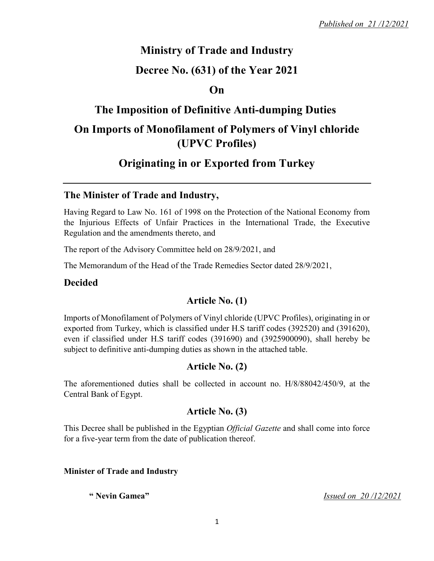# **Ministry of Trade and Industry**

## **Decree No. (631) of the Year 2021**

### **On**

## **The Imposition of Definitive Anti-dumping Duties**

# **On Imports of Monofilament of Polymers of Vinyl chloride (UPVC Profiles)**

# **Originating in or Exported from Turkey**

#### **The Minister of Trade and Industry,**

Having Regard to Law No. 161 of 1998 on the Protection of the National Economy from the Injurious Effects of Unfair Practices in the International Trade, the Executive Regulation and the amendments thereto, and

The report of the Advisory Committee held on 28/9/2021, and

The Memorandum of the Head of the Trade Remedies Sector dated 28/9/2021,

#### **Decided**

### **Article No. (1)**

Imports of Monofilament of Polymers of Vinyl chloride (UPVC Profiles), originating in or exported from Turkey, which is classified under H.S tariff codes (392520) and (391620), even if classified under H.S tariff codes (391690) and (3925900090), shall hereby be subject to definitive anti-dumping duties as shown in the attached table.

### **Article No. (2)**

The aforementioned duties shall be collected in account no. H/8/88042/450/9, at the Central Bank of Egypt.

### **Article No. (3)**

This Decree shall be published in the Egyptian *Official Gazette* and shall come into force for a five-year term from the date of publication thereof.

#### **Minister of Trade and Industry**

**" Nevin Gamea"** *Issued on 20 /12/2021*